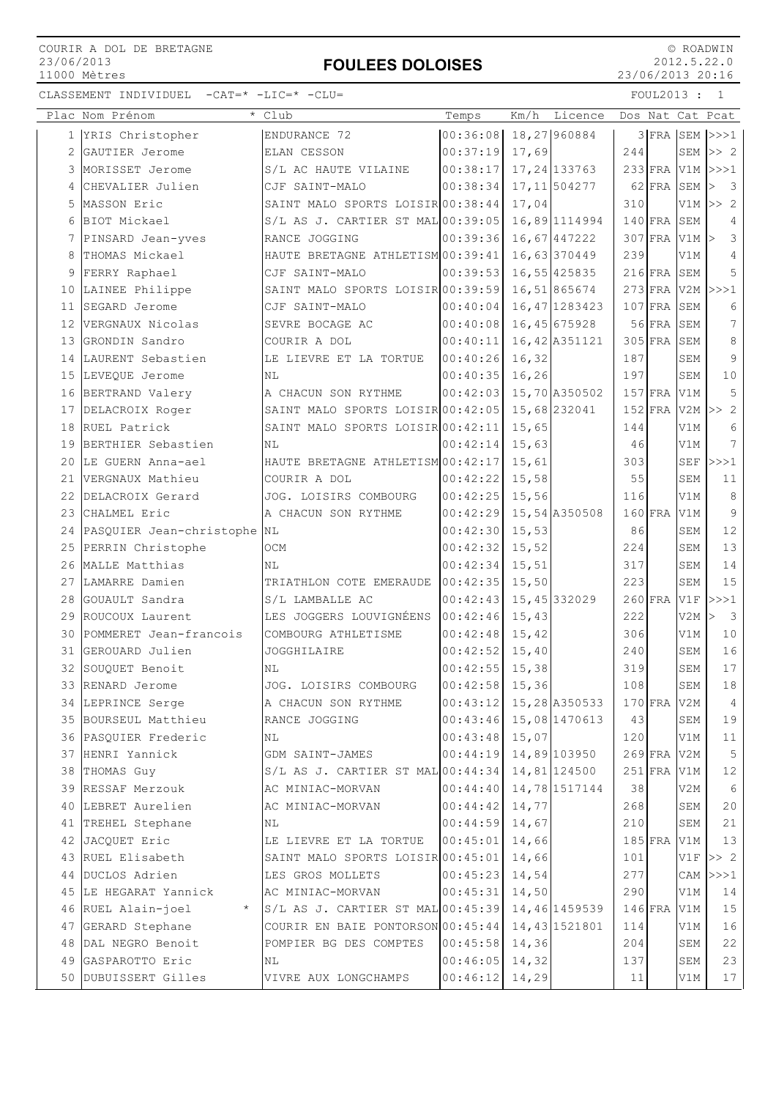### FOULEES DOLOISES

 © ROADWIN 2012.5.22.0 23/06/2013 20:16

|    | Plac Nom Prénom<br>$\star$     | Club                                  | Temps                     | Km/h   | Licence        |     |               |                                | Dos Nat Cat Pcat                 |
|----|--------------------------------|---------------------------------------|---------------------------|--------|----------------|-----|---------------|--------------------------------|----------------------------------|
|    | 1 YRIS Christopher             | ENDURANCE 72                          | $ 00:36:08 $ 18,27 960884 |        |                |     |               |                                | $3$ FRA SEM $\rightarrow$ > $>1$ |
| 2  | GAUTIER Jerome                 | ELAN CESSON                           | 00:37:19                  | 17,69  |                | 244 |               |                                | SEM $>> 2$                       |
|    | 3 MORISSET Jerome              | S/L AC HAUTE VILAINE                  | 00:38:17                  |        | 17, 24 133763  |     |               |                                | 233 FRA V1M >>>1                 |
| 4  | CHEVALIER Julien               | CJF SAINT-MALO                        | 00:38:34                  |        | 17, 11 504277  |     | 62 FRA SEM    |                                | $\overline{\mathbf{3}}$          |
| 5  | MASSON Eric                    | SAINT MALO SPORTS LOISIR 00:38:44     |                           | 17,04  |                | 310 |               |                                | $V1M \gg 2$                      |
| 6  | BIOT Mickael                   | $S/L$ AS J. CARTIER ST MAL $00:39:05$ |                           |        | 16,89 1114994  |     | $140$ FRA SEM |                                | 4                                |
|    | 7 PINSARD Jean-yves            | RANCE JOGGING                         | 00:39:36                  |        | 16,67 447222   |     |               | $307$ FRA V1M $\triangleright$ | 3                                |
| 8  | THOMAS Mickael                 | HAUTE BRETAGNE ATHLETISM 00:39:41     |                           |        | 16,63 370449   | 239 |               | V1M                            | 4                                |
| 9  | FERRY Raphael                  | CJF SAINT-MALO                        | 00:39:53                  |        | 16,55 425835   |     | $216$ FRA SEM |                                | 5                                |
|    | 10 LAINEE Philippe             | SAINT MALO SPORTS LOISIR 00:39:59     |                           |        | 16,51865674    |     |               |                                | 273 FRA V2M >>>1                 |
|    | 11 SEGARD Jerome               | CJF SAINT-MALO                        | 00:40:04                  |        | 16, 47 1283423 |     | $107$ FRA SEM |                                | 6                                |
|    | 12 VERGNAUX Nicolas            | SEVRE BOCAGE AC                       | 00:40:08                  |        | 16,45 675928   |     | 56 FRA SEM    |                                | 7                                |
|    | 13 GRONDIN Sandro              | COURIR A DOL                          | 00:40:11                  |        | 16,42 A351121  |     | 305 FRA SEM   |                                | 8                                |
|    | 14 LAURENT Sebastien           | LE LIEVRE ET LA TORTUE                | 00:40:26                  | 16,32  |                | 187 |               | SEM                            | 9                                |
| 15 | LEVEQUE Jerome                 | NL                                    | 00:40:35                  | 16, 26 |                | 197 |               | SEM                            | 10                               |
| 16 | BERTRAND Valery                | A CHACUN SON RYTHME                   | 00:42:03                  |        | 15,70 A350502  |     | $157$ FRA V1M |                                | 5                                |
|    | 17 DELACROIX Roger             | SAINT MALO SPORTS LOISIR 00:42:05     |                           |        | 15,68 232041   |     |               |                                | $152$ FRA V2M >> 2               |
|    | 18 RUEL Patrick                | SAINT MALO SPORTS LOISIR 00:42:11     |                           | 15,65  |                | 144 |               | V1M                            | 6                                |
|    | 19 BERTHIER Sebastien          | NL                                    | 00:42:14                  | 15,63  |                | 46  |               | V1M                            | 7                                |
|    | 20 LE GUERN Anna-ael           | HAUTE BRETAGNE ATHLETISM 00:42:17     |                           | 15,61  |                | 303 |               | <b>SEF</b>                     | >>>1                             |
|    | 21 VERGNAUX Mathieu            | COURIR A DOL                          | 00:42:22                  | 15,58  |                | 55  |               | SEM                            | 11                               |
|    | 22 DELACROIX Gerard            | JOG. LOISIRS COMBOURG                 | 00:42:25                  | 15,56  |                | 116 |               | V1M                            | 8                                |
|    | 23 CHALMEL Eric                | A CHACUN SON RYTHME                   | 00:42:29                  |        | 15,54 A350508  |     | $160$ FRA     | V1M                            | 9                                |
|    | 24 PASQUIER Jean-christophe NL |                                       | 00:42:30                  | 15,53  |                | 86  |               | SEM                            | 12                               |
| 25 | PERRIN Christophe              | OCM                                   | 00:42:32                  | 15,52  |                | 224 |               | SEM                            | 13                               |
| 26 | MALLE Matthias                 | NL                                    | 00:42:34                  | 15, 51 |                | 317 |               | SEM                            | 14                               |
|    | 27 LAMARRE Damien              | TRIATHLON COTE EMERAUDE               | 00:42:35                  | 15,50  |                | 223 |               | SEM                            | 15                               |
|    | 28 GOUAULT Sandra              | S/L LAMBALLE AC                       | 00:42:43                  |        | 15,45 332029   |     | $260$ FRA V1F |                                | >>>1                             |
|    | 29 ROUCOUX Laurent             | LES JOGGERS LOUVIGNÉENS 00:42:46      |                           | 15,43  |                | 222 |               | V2M                            | $\overline{\mathbf{3}}$<br>⊳     |
|    | 30 POMMERET Jean-francois      | COMBOURG ATHLETISME                   | 00:42:48                  | 15,42  |                | 306 |               | V1M                            | 10                               |
|    | 31 GEROUARD Julien             | JOGGHILAIRE                           | 00:42:52                  | 15,40  |                | 240 |               | SEM                            | 16                               |
|    | 32 SOUQUET Benoit              | ΝL                                    | 00:42:55                  | 15,38  |                | 319 |               | SEM                            | 17                               |
|    | 33 RENARD Jerome               | JOG. LOISIRS COMBOURG                 | 00:42:58                  | 15,36  |                | 108 |               | SEM                            | 18                               |
|    | 34 LEPRINCE Serge              | A CHACUN SON RYTHME                   | 00:43:12                  |        | 15,28 A350533  |     | 170 FRA V2M   |                                | 4                                |
|    | 35 BOURSEUL Matthieu           | RANCE JOGGING                         | 00:43:46                  |        | 15,08 1470613  | 43  |               | SEM                            | 19                               |
|    | 36 PASQUIER Frederic           | NL                                    | 00:43:48                  | 15,07  |                | 120 |               | V1M                            | $1\,1$                           |
|    | 37 HENRI Yannick               | GDM SAINT-JAMES                       | 00:44:19                  |        | 14,89 103950   |     | $269$ FRA V2M |                                | 5                                |
|    | 38 THOMAS Guy                  | $S/L$ AS J. CARTIER ST MAL $00:44:34$ |                           |        | 14,81 124500   |     | $251$ FRA V1M |                                | 12                               |
|    | 39 RESSAF Merzouk              | AC MINIAC-MORVAN                      | 00:44:40                  |        | 14,78 1517144  | 38  |               | V2M                            | 6                                |
|    | 40 LEBRET Aurelien             | AC MINIAC-MORVAN                      | 00:44:42                  | 14,77  |                | 268 |               | SEM                            | 20                               |
|    | 41 TREHEL Stephane             | ΝL                                    | 00:44:59                  | 14,67  |                | 210 |               | SEM                            | 21                               |
|    | 42 JACQUET Eric                | LE LIEVRE ET LA TORTUE                | 00:45:01                  | 14,66  |                |     | $185$ FRA V1M |                                | 13                               |
|    | 43 RUEL Elisabeth              | SAINT MALO SPORTS LOISIR 00:45:01     |                           | 14,66  |                | 101 |               | V1F                            | >> 2                             |
|    | 44 DUCLOS Adrien               | LES GROS MOLLETS                      | 00:45:23                  | 14,54  |                | 277 |               | CAM                            | >>>1                             |
|    | 45 LE HEGARAT Yannick          | AC MINIAC-MORVAN                      | 00:45:31                  | 14,50  |                | 290 |               | V1M                            | 14                               |
|    | 46 RUEL Alain-joel             | * S/L AS J. CARTIER ST MAL 00:45:39   |                           |        | 14,46 1459539  |     | $146$ FRA     | V1M                            | 15                               |
|    | 47 GERARD Stephane             | COURIR EN BAIE PONTORSON 00:45:44     |                           |        | 14,43 1521801  | 114 |               | V1M                            | 16                               |
|    | 48 DAL NEGRO Benoit            | POMPIER BG DES COMPTES                | 00:45:58                  | 14,36  |                | 204 |               | SEM                            | 22                               |
|    | 49 GASPAROTTO Eric             | ΝL                                    | 00:46:05                  | 14,32  |                | 137 |               | SEM                            | 23                               |
| 50 | DUBUISSERT Gilles              | VIVRE AUX LONGCHAMPS                  | 00:46:12                  | 14,29  |                | 11  |               | V1M                            | 17                               |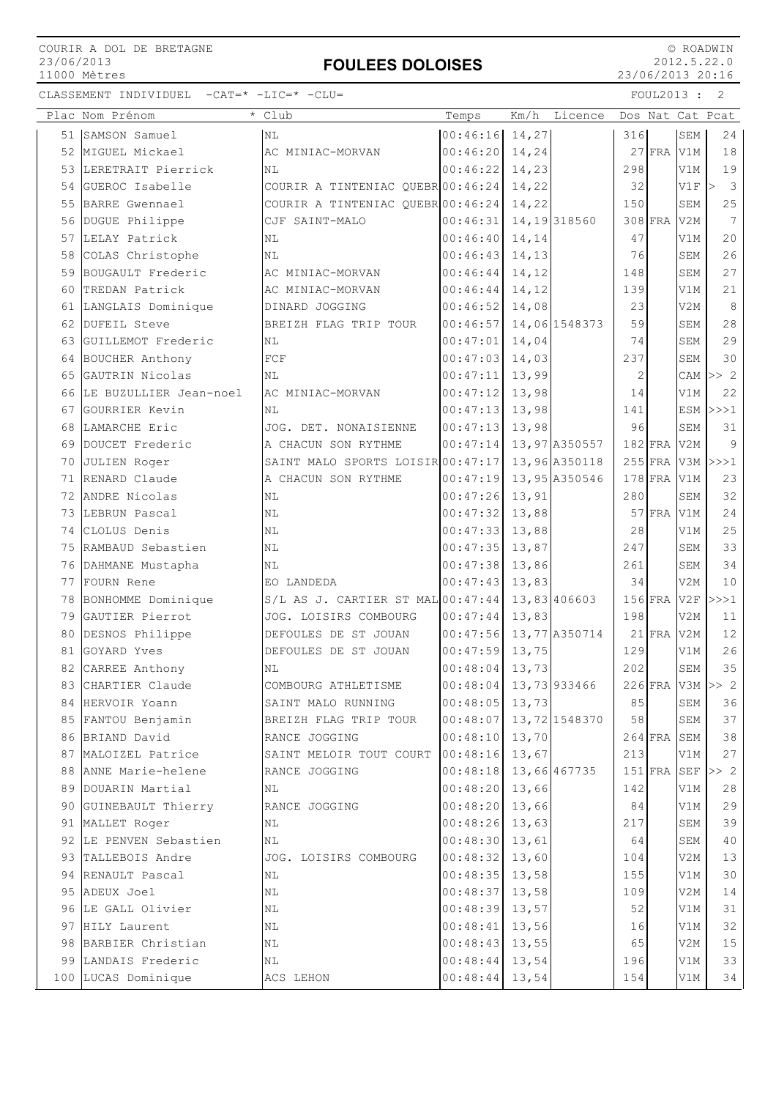# FOULEES DOLOISES

 © ROADWIN 2012.5.22.0 23/06/2013 20:16

|    | Plac Nom Prénom                    | Club                                | Temps                   | Km/h           | Licence       |            |               |            | Dos Nat Cat Pcat             |
|----|------------------------------------|-------------------------------------|-------------------------|----------------|---------------|------------|---------------|------------|------------------------------|
|    | 51 SAMSON Samuel                   | ΝL                                  | $ 00:46:16 $ 14,27      |                |               | 316        |               | SEM        | 24                           |
|    | 52 MIGUEL Mickael                  | AC MINIAC-MORVAN                    | 00:46:20                | 14,24          |               |            | $27$ FRA      | V1M        | 18                           |
|    | 53 LERETRAIT Pierrick              | NL                                  | 00:46:22                | 14,23          |               | 298        |               | V1M        | 19                           |
|    | 54 GUEROC Isabelle                 | COURIR A TINTENIAC QUEBR 00:46:24   |                         | 14,22          |               | 32         |               | V1F        | $\overline{\mathbf{3}}$<br>> |
| 55 | BARRE Gwennael                     | COURIR A TINTENIAC QUEBR 00:46:24   |                         | 14,22          |               | 150        |               | SEM        | 25                           |
| 56 | DUGUE Philippe                     | CJF SAINT-MALO                      | 00:46:31                |                | 14, 19 318560 |            | 308 FRA       | V2M        | $7\overline{ }$              |
|    | 57 LELAY Patrick                   | ΝL                                  | 00:46:40                | 14,14          |               | 47         |               | V1M        | 20                           |
|    | 58 COLAS Christophe                | NL                                  | 00:46:43                | 14,13          |               | 76         |               | SEM        | 26                           |
|    | 59 BOUGAULT Frederic               | AC MINIAC-MORVAN                    | 00:46:44                | 14,12          |               | 148        |               | SEM        | 27                           |
| 60 | TREDAN Patrick                     | AC MINIAC-MORVAN                    | 00:46:44                | 14,12          |               | 139        |               | V1M        | 21                           |
|    | 61 LANGLAIS Dominique              | DINARD JOGGING                      | 00:46:52                | 14,08          |               | 23         |               | V2M        | 8                            |
|    | 62 DUFEIL Steve                    | BREIZH FLAG TRIP TOUR               | 00:46:57                |                | 14,06 1548373 | 59         |               | SEM        | 28                           |
|    | 63 GUILLEMOT Frederic              | ΝL                                  | 00:47:01                | 14,04          |               | 74         |               | SEM        | 29                           |
|    | 64 BOUCHER Anthony                 | FCF                                 | 00:47:03                | 14,03          |               | 237        |               | SEM        | 30                           |
| 65 | GAUTRIN Nicolas                    | ΝL                                  | 00:47:11                | 13,99          |               | 2          |               |            | CAM $\vert >> 2 \vert$       |
| 66 | LE BUZULLIER Jean-noel             | AC MINIAC-MORVAN                    | 00:47:12                | 13,98          |               | 14         |               | V1M        | 22                           |
| 67 | GOURRIER Kevin                     | NL                                  | 00:47:13                | 13,98          |               | 141        |               |            | $ESM$ $>>$ $1$               |
| 68 | LAMARCHE Eric                      | JOG. DET. NONAISIENNE               | 00:47:13                | 13,98          |               | 96         |               | SEM        | 31                           |
|    | 69 DOUCET Frederic                 | A CHACUN SON RYTHME                 | 00:47:14                |                | 13,97 A350557 |            | $182$ FRA V2M |            | 9                            |
|    | 70 JULIEN Roger                    | SAINT MALO SPORTS LOISIR 00:47:17   |                         |                | 13,96 A350118 |            |               |            | 255 FRA V3M >>>1             |
|    | 71 RENARD Claude                   | A CHACUN SON RYTHME                 | 00:47:19                |                | 13,95 A350546 |            | $178$ FRA     | V1M        | 23                           |
|    | 72 ANDRE Nicolas                   | ΝL                                  | 00:47:26                | 13,91          |               | 280        |               | SEM        | 32                           |
|    | 73 LEBRUN Pascal                   | ΝL                                  | 00:47:32                | 13,88          |               |            | $57$ FRA      | V1M        | 24                           |
|    | 74 CLOLUS Denis                    | ΝL                                  | 00:47:33                | 13,88          |               | 28         |               | V1M        | 25                           |
| 75 | RAMBAUD Sebastien                  | ΝL                                  | 00:47:35                | 13,87          |               | 247        |               | SEM        | 33                           |
| 76 | DAHMANE Mustapha                   | ΝL                                  | 00:47:38                | 13,86          |               | 261        |               | SEM        | 34                           |
|    | 77 FOURN Rene                      | EO LANDEDA                          | 00:47:43                | 13,83          |               | 34         |               | V2M        | 10                           |
|    | 78 BONHOMME Dominique              | $S/L$ AS J. CARTIER ST MAL 00:47:44 |                         |                | 13,83 406603  |            | $156$ FRA     | V2F        | >>>1                         |
|    | 79 GAUTIER Pierrot                 | JOG. LOISIRS COMBOURG               | 00:47:44                | 13,83          |               | 198        |               | V2M        | 11                           |
|    | 80 DESNOS Philippe                 | DEFOULES DE ST JOUAN                | 00:47:56                |                | 13,77 A350714 |            | $21$ FRA      | V2M        | 12                           |
| 81 | GOYARD Yves                        | DEFOULES DE ST JOUAN                | 00:47:59                | 13,75          |               | 129        |               | V1M        | 26                           |
|    | 82 CARREE Anthony                  | ΝL                                  | 00:48:04                | 13,73          |               | 202        |               | SEM        | 35                           |
|    | 83 CHARTIER Claude                 | COMBOURG ATHLETISME                 | $00:48:04$ 13,73 933466 |                |               |            |               |            | $226$ FRA V3M >> 2           |
| 84 | HERVOIR Yoann                      | SAINT MALO RUNNING                  | 00:48:05                | 13,73          |               | 85         |               | SEM        | 36                           |
|    | 85 FANTOU Benjamin                 | BREIZH FLAG TRIP TOUR               | 00:48:07                |                | 13,72 1548370 | 58         |               | SEM        | 37                           |
|    | 86 BRIAND David                    | RANCE JOGGING                       | 00:48:10                | 13,70          |               |            | $264$ FRA     | SEM        | 38                           |
|    | 87 MALOIZEL Patrice                | SAINT MELOIR TOUT COURT             | 00:48:16                | 13,67          |               | 213        |               | V1M        | 27                           |
|    | 88 ANNE Marie-helene               | RANCE JOGGING                       | 00:48:18                |                | 13,66 467735  |            | $151$ $FRA$   | <b>SEF</b> | $>>$ 2                       |
|    | 89 DOUARIN Martial                 | ΝL                                  | 00:48:20                | 13,66          |               | 142        |               | V1M        | 28                           |
| 90 | GUINEBAULT Thierry                 | RANCE JOGGING                       | 00:48:20                | 13,66          |               | 84         |               | V1M        | 29                           |
| 91 | MALLET Roger                       | ΝL                                  | 00:48:26                | 13,63          |               | 217        |               | SEM        | 39                           |
| 92 | LE PENVEN Sebastien                | NL                                  | 00:48:30<br>00:48:32    | 13,61          |               | 64         |               | SEM        | 40                           |
|    | 93 TALLEBOIS Andre                 | JOG. LOISIRS COMBOURG               |                         | 13,60          |               | 104<br>155 |               | V2M        | 13<br>30                     |
|    | 94 RENAULT Pascal<br>95 ADEUX Joel | NL                                  | 00:48:35<br>00:48:37    | 13,58<br>13,58 |               | 109        |               | V1M<br>V2M | 14                           |
|    |                                    | ΝL                                  | 00:48:39                |                |               | 52         |               |            |                              |
| 96 | LE GALL Olivier<br>97 HILY Laurent | NL                                  | 00:48:41                | 13,57          |               | 16         |               | V1M<br>V1M | 31<br>32                     |
|    | 98 BARBIER Christian               | ΝL<br>ΝL                            | 00:48:43                | 13,56<br>13,55 |               | 65         |               | V2M        | 15                           |
|    | 99 LANDAIS Frederic                | ΝL                                  | 00:48:44                | 13,54          |               | 196        |               | V1M        | 33                           |
|    | 100 LUCAS Dominique                | ACS LEHON                           | 00:48:44                | 13,54          |               | 154        |               | V1M        | 34                           |
|    |                                    |                                     |                         |                |               |            |               |            |                              |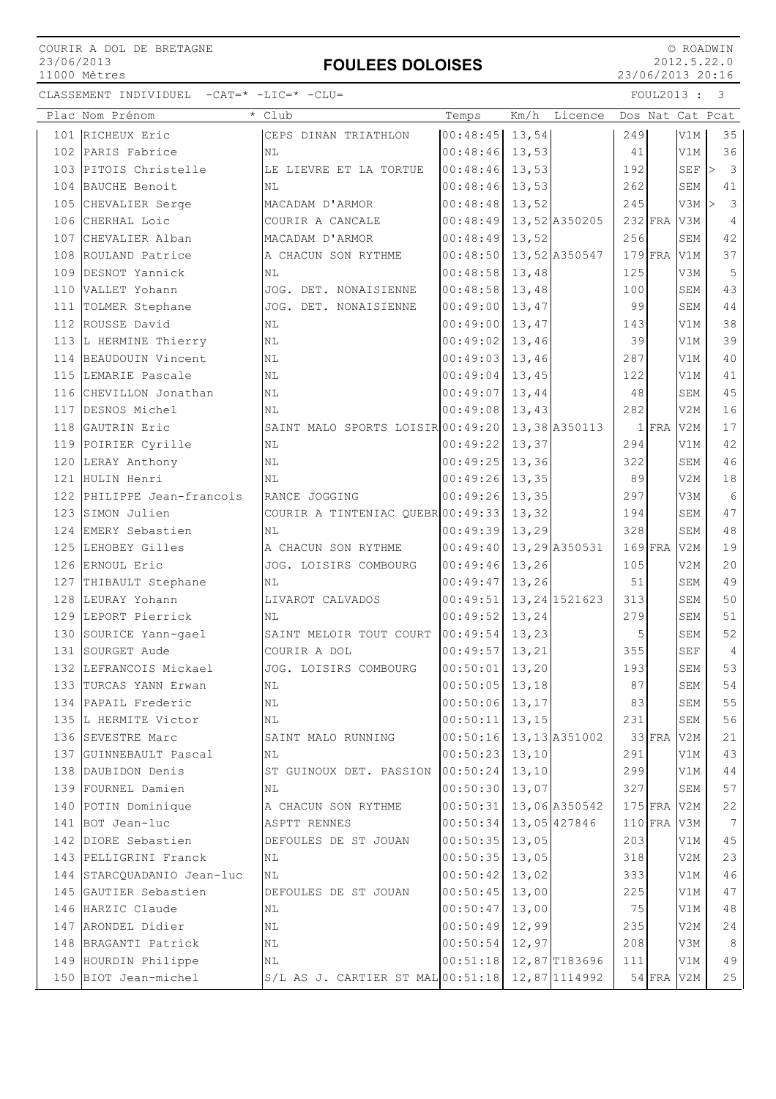## FOULEES DOLOISES

 © ROADWIN 2012.5.22.0 23/06/2013 20:16

| Plac Nom Prénom            | * Club                                          | Temps                      | Km/h   | Licence        |           |           |                 | Dos Nat Cat Pcat              |
|----------------------------|-------------------------------------------------|----------------------------|--------|----------------|-----------|-----------|-----------------|-------------------------------|
| 101 RICHEUX Eric           | CEPS DINAN TRIATHLON                            | $ 00:48:45 $ 13,54         |        |                | 249       |           | V1M             | 35                            |
| 102 PARIS Fabrice          | ΝL                                              | $00:48:46$ 13,53           |        |                | 41        |           | V1M             | 36                            |
| 103 PITOIS Christelle      | LE LIEVRE ET LA TORTUE                          | 00:48:46 13,53             |        |                | 192       |           | $SEF$ >         | $\overline{\mathbf{3}}$       |
| 104 BAUCHE Benoit          | NL                                              | 00:48:46                   | 13,53  |                | 262       |           | SEM             | 41                            |
| 105 CHEVALIER Serge        | MACADAM D'ARMOR                                 | 00:48:48                   | 13,52  |                | 245       |           | <b>V3M</b>      | $\mathbf{3}$<br>$\rightarrow$ |
| 106 CHERHAL Loic           | COURIR A CANCALE                                | $ 00:48:49 $ 13,52 A350205 |        |                |           | $232$ FRA | V3M             | 4                             |
| 107 CHEVALIER Alban        | MACADAM D'ARMOR                                 | 00:48:49                   | 13,52  |                | 256       |           | SEM             | 42                            |
| 108 ROULAND Patrice        | A CHACUN SON RYTHME                             | $00:48:50$ 13, 52 A350547  |        |                |           | $179$ FRA | V1M             | 37                            |
| 109 DESNOT Yannick         | NL                                              | 00:48:58                   | 13,48  |                | 125       |           | V3M             | 5                             |
| 110 VALLET Yohann          | JOG. DET. NONAISIENNE                           | 00:48:58                   | 13,48  |                | 100       |           | SEM             | 43                            |
| 111 TOLMER Stephane        | JOG. DET. NONAISIENNE                           | 00:49:00                   | 13,47  |                | 99        |           | SEM             | 44                            |
| 112 ROUSSE David           | ΝL                                              | 00:49:00                   | 13,47  |                | 143       |           | V1M             | 38                            |
| 113 L HERMINE Thierry      | NL                                              | $00:49:02$ 13,46           |        |                | 39        |           | V1M             | 39                            |
| 114 BEAUDOUIN Vincent      | ΝL                                              | 00:49:03                   | 13,46  |                | 287       |           | V1M             | 40                            |
| 115 LEMARIE Pascale        | ΝL                                              | $00:49:04$ 13,45           |        |                | 122       |           | V1M             | 41                            |
| 116 CHEVILLON Jonathan     | NL                                              | 00:49:07                   | 13,44  |                | 48        |           | SEM             | 45                            |
| 117 DESNOS Michel          | ΝL                                              | $00:49:08$ 13,43           |        |                | 282       |           | V2M             | 16                            |
| 118 GAUTRIN Eric           | SAINT MALO SPORTS LOISIR 00:49:20 13,38 A350113 |                            |        |                |           | $1$ FRA   | V2M             | 17                            |
| 119 POIRIER Cyrille        | ΝL                                              | $00:49:22$ 13,37           |        |                | 294       |           | V1M             | 42                            |
| 120 LERAY Anthony          | NL                                              | 00:49:25                   | 13,36  |                | 322       |           | SEM             | 46                            |
| 121 HULIN Henri            | NL                                              | 00:49:26                   | 13,35  |                | 89        |           | V2M             | 18                            |
| 122 PHILIPPE Jean-francois | RANCE JOGGING                                   | 00:49:26 13,35             |        |                | 297       |           | V3M             | 6                             |
| 123 SIMON Julien           | COURIR A TINTENIAC QUEBR00:49:33                |                            | 13,32  |                | 194       |           | SEM             | 47                            |
| 124 EMERY Sebastien        | NL                                              | 00:49:39                   | 13,29  |                | 328       |           | SEM             | 48                            |
| 125 LEHOBEY Gilles         | A CHACUN SON RYTHME                             | 00:49:40                   |        | 13,29 A350531  | $169$ FRA |           | V <sub>2M</sub> | 19                            |
| 126 ERNOUL Eric            | JOG. LOISIRS COMBOURG                           | 00:49:46                   | 13,26  |                | 105       |           | V <sub>2M</sub> | 20                            |
| 127 THIBAULT Stephane      | ΝL                                              | 00:49:47                   | 13,26  |                | 51        |           | SEM             | 49                            |
| 128 LEURAY Yohann          | LIVAROT CALVADOS                                | 00:49:51                   |        | 13, 24 1521623 | 313       |           | SEM             | 50                            |
| 129 LEPORT Pierrick        | ΝL                                              | 00:49:52                   | 13,24  |                | 279       |           | SEM             | 51                            |
| 130 SOURICE Yann-gael      | SAINT MELOIR TOUT COURT                         | 00:49:54                   | 13,23  |                | 5         |           | SEM             | 52                            |
| 131 SOURGET Aude           | COURIR A DOL                                    | 00:49:57                   | 13,21  |                | 355       |           | <b>SEF</b>      | $\overline{4}$                |
| 132 LEFRANCOIS Mickael     | JOG. LOISIRS COMBOURG                           | 00:50:01                   | 13,20  |                | 193       |           | SEM             | 53                            |
| 133 TURCAS YANN Erwan      | $\rm NL$                                        | $ 00:50:05 $ 13,18         |        |                | 87        |           | SEM             | 54                            |
| 134 PAPAIL Frederic        | ΝL                                              | 00:50:06                   | 13,17  |                | 83        |           | SEM             | 55                            |
| 135 L HERMITE Victor       | $\rm NL$                                        | 00:50:11                   | 13, 15 |                | 231       |           | SEM             | 56                            |
| 136 SEVESTRE Marc          | SAINT MALO RUNNING                              | $00:50:16$ 13, 13 A351002  |        |                |           | $33$ FRA  | V <sub>2M</sub> | 21                            |
| 137 GUINNEBAULT Pascal     | ΝL                                              | 00:50:23                   | 13,10  |                | 291       |           | V1M             | 43                            |
| 138 DAUBIDON Denis         | ST GUINOUX DET. PASSION                         | 00:50:24                   | 13,10  |                | 299       |           | V1M             | 44                            |
| 139 FOURNEL Damien         | ΝL                                              | 00:50:30                   | 13,07  |                | 327       |           | SEM             | 57                            |
| 140 POTIN Dominique        | A CHACUN SON RYTHME                             | 00:50:31                   |        | 13,06 A350542  |           | $175$ FRA | V2M             | 22                            |
| 141 BOT Jean-luc           | <b>ASPTT RENNES</b>                             | 00:50:34                   |        | 13,05 427846   |           | $110$ FRA | V3M             | $7\phantom{.0}$               |
| 142 DIORE Sebastien        | DEFOULES DE ST JOUAN                            | 00:50:35                   | 13,05  |                | 203       |           | V1M             | 45                            |
| 143 PELLIGRINI Franck      | NL                                              | 00:50:35                   | 13,05  |                | 318       |           | V2M             | 23                            |
| 144 STARCQUADANIO Jean-luc | ΝL                                              | 00:50:42                   | 13,02  |                | 333       |           | V1M             | 46                            |
| 145 GAUTIER Sebastien      | DEFOULES DE ST JOUAN                            | 00:50:45                   | 13,00  |                | 225       |           | V1M             | 47                            |
| 146 HARZIC Claude          | NL                                              | 00:50:47                   | 13,00  |                | 75        |           | V1M             | 48                            |
| 147 ARONDEL Didier         | ΝL                                              | 00:50:49                   | 12,99  |                | 235       |           | V2M             | 24                            |
| 148 BRAGANTI Patrick       | ΝL                                              | 00:50:54                   | 12,97  |                | 208       |           | V3M             | 8                             |
| 149 HOURDIN Philippe       | ΝL                                              | 00:51:18                   |        | 12,87 T183696  | 111       |           | V1M             | 49                            |
| 150 BIOT Jean-michel       | $S/L$ AS J. CARTIER ST MAL $00:51:18$           |                            |        | 12,87 1114992  |           | $54$ FRA  | V2M             | 25                            |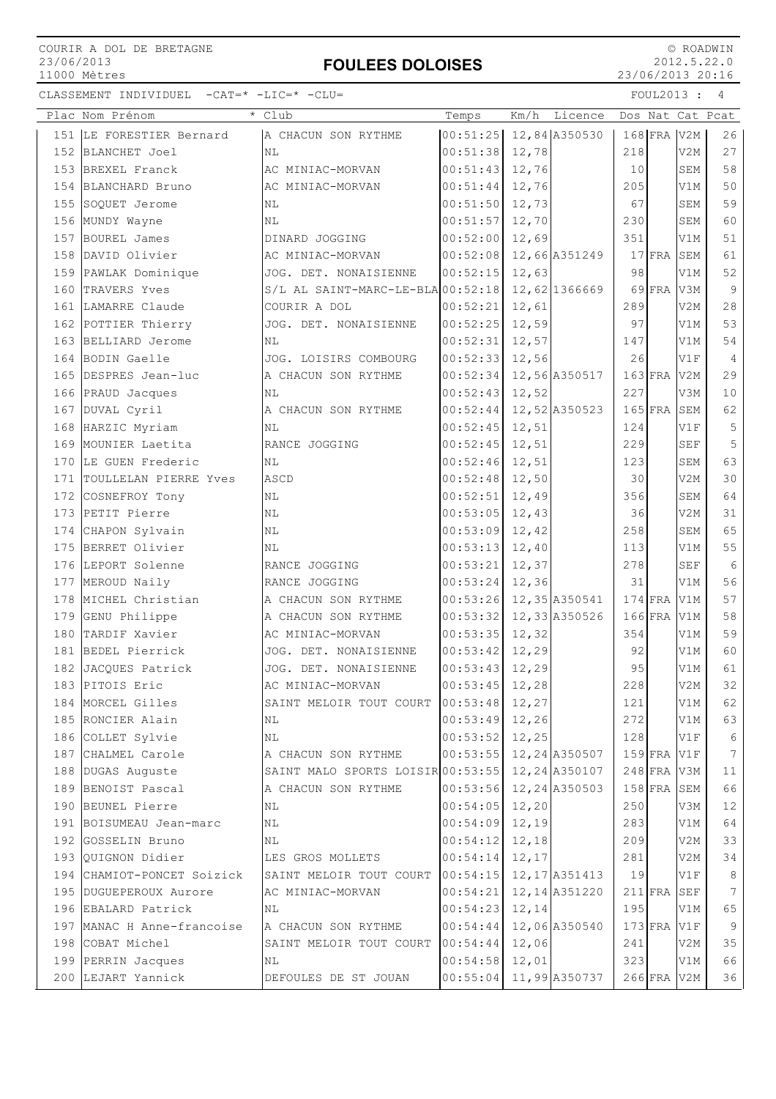## FOULEES DOLOISES

 © ROADWIN 2012.5.22.0 23/06/2013 20:16

| Plac Nom Prénom            | * Club                              | Temps    | Km/h   | Licence        |     |             |                 | Dos Nat Cat Pcat |
|----------------------------|-------------------------------------|----------|--------|----------------|-----|-------------|-----------------|------------------|
| 151 LE FORESTIER Bernard   | A CHACUN SON RYTHME                 | 00:51:25 |        | 12,84 A350530  |     | 168 FRA V2M |                 | 26               |
| 152 BLANCHET Joel          | NL                                  | 00:51:38 | 12,78  |                | 218 |             | V2M             | 27               |
| 153 BREXEL Franck          | AC MINIAC-MORVAN                    | 00:51:43 | 12,76  |                | 10  |             | SEM             | 58               |
| 154 BLANCHARD Bruno        | AC MINIAC-MORVAN                    | 00:51:44 | 12,76  |                | 205 |             | V1M             | 50               |
| 155 SOQUET Jerome          | ΝL                                  | 00:51:50 | 12,73  |                | 67  |             | <b>SEM</b>      | 59               |
| 156 MUNDY Wayne            | ΝL                                  | 00:51:57 | 12,70  |                | 230 |             | SEM             | 60               |
| 157 BOUREL James           | DINARD JOGGING                      | 00:52:00 | 12,69  |                | 351 |             | V1M             | 51               |
| 158 DAVID Olivier          | AC MINIAC-MORVAN                    | 00:52:08 |        | 12,66 A351249  |     | $17$ FRA    | SEM             | 61               |
| 159 PAWLAK Dominique       | JOG. DET. NONAISIENNE               | 00:52:15 | 12,63  |                | 98  |             | V1M             | 52               |
| 160 TRAVERS Yves           | $S/L$ AL SAINT-MARC-LE-BLA 00:52:18 |          |        | 12,62 1366669  |     | 69 FRA      | V3M             | 9                |
| 161 LAMARRE Claude         | COURIR A DOL                        | 00:52:21 | 12,61  |                | 289 |             | V2M             | 28               |
| 162 POTTIER Thierry        | JOG. DET. NONAISIENNE               | 00:52:25 | 12,59  |                | 97  |             | V1M             | 53               |
| 163 BELLIARD Jerome        | ΝL                                  | 00:52:31 | 12,57  |                | 147 |             | V1M             | 54               |
| 164 BODIN Gaelle           | JOG. LOISIRS COMBOURG               | 00:52:33 | 12,56  |                | 26  |             | V1F             | $\overline{4}$   |
| 165 DESPRES Jean-luc       | A CHACUN SON RYTHME                 | 00:52:34 |        | 12,56 A350517  |     | $163$ FRA   | V2M             | 29               |
| 166 PRAUD Jacques          | NL                                  | 00:52:43 | 12,52  |                | 227 |             | V3M             | 10               |
| 167 DUVAL Cyril            | A CHACUN SON RYTHME                 | 00:52:44 |        | 12,52 A350523  |     | $165$ FRA   | SEM             | 62               |
| 168 HARZIC Myriam          | NL                                  | 00:52:45 | 12,51  |                | 124 |             | V1F             | 5                |
| 169 MOUNIER Laetita        | RANCE JOGGING                       | 00:52:45 | 12,51  |                | 229 |             | <b>SEF</b>      | 5                |
| 170 LE GUEN Frederic       | ΝL                                  | 00:52:46 | 12,51  |                | 123 |             | <b>SEM</b>      | 63               |
| 171 TOULLELAN PIERRE Yves  | ASCD                                | 00:52:48 | 12,50  |                | 30  |             | V2M             | 30               |
| 172 COSNEFROY Tony         | ΝL                                  | 00:52:51 | 12,49  |                | 356 |             | SEM             | 64               |
| 173 PETIT Pierre           | ΝL                                  | 00:53:05 | 12,43  |                | 36  |             | V <sub>2M</sub> | 31               |
| 174 CHAPON Sylvain         | NL                                  | 00:53:09 | 12,42  |                | 258 |             | SEM             | 65               |
| 175 BERRET Olivier         | NL                                  | 00:53:13 | 12,40  |                | 113 |             | V1M             | 55               |
| 176 LEPORT Solenne         | RANCE JOGGING                       | 00:53:21 | 12,37  |                | 278 |             | <b>SEF</b>      | 6                |
| 177 MEROUD Naily           | RANCE JOGGING                       | 00:53:24 | 12,36  |                | 31  |             | V1M             | 56               |
| 178 MICHEL Christian       | A CHACUN SON RYTHME                 | 00:53:26 |        | 12,35 A350541  |     | $174$ FRA   | V1M             | 57               |
| 179 GENU Philippe          | A CHACUN SON RYTHME                 | 00:53:32 |        | 12,33 A350526  |     | $166$ FRA   | V1M             | 58               |
| 180 TARDIF Xavier          | AC MINIAC-MORVAN                    | 00:53:35 | 12,32  |                | 354 |             | V1M             | 59               |
| 181 BEDEL Pierrick         | JOG. DET. NONAISIENNE               | 00:53:42 | 12,29  |                | 92  |             | V1M             | 60               |
| 182 JACQUES Patrick        | JOG. DET. NONAISIENNE               | 00:53:43 | 12,29  |                | 95  |             | V1M             | 61               |
| 183 PITOIS Eric            | AC MINIAC-MORVAN                    | 00:53:45 | 12,28  |                | 228 |             | V2M             | 32               |
| 184 MORCEL Gilles          | SAINT MELOIR TOUT COURT             | 00:53:48 | 12,27  |                | 121 |             | V1M             | 62               |
| 185 RONCIER Alain          | ΝL                                  | 00:53:49 | 12,26  |                | 272 |             | V1M             | 63               |
| 186 COLLET Sylvie          | ΝL                                  | 00:53:52 | 12,25  |                | 128 |             | V1F             | 6                |
| 187 CHALMEL Carole         | A CHACUN SON RYTHME                 | 00:53:55 |        | 12, 24 A350507 |     | $159$ FRA   | V1F             | 7                |
| 188 DUGAS Auguste          | SAINT MALO SPORTS LOISIR 00:53:55   |          |        | 12,24 A350107  |     | $248$ FRA   | V3M             | 11               |
| 189 BENOIST Pascal         | A CHACUN SON RYTHME                 | 00:53:56 |        | 12,24 A350503  |     | 158 FRA SEM |                 | 66               |
| 190 BEUNEL Pierre          | NL                                  | 00:54:05 | 12,20  |                | 250 |             | V3M             | 12               |
| 191 BOISUMEAU Jean-marc    | ΝL                                  | 00:54:09 | 12,19  |                | 283 |             | V1M             | 64               |
| 192 GOSSELIN Bruno         | ΝL                                  | 00:54:12 | 12,18  |                | 209 |             | V2M             | 33               |
| 193 QUIGNON Didier         | LES GROS MOLLETS                    | 00:54:14 | 12, 17 |                | 281 |             | V2M             | 34               |
| 194 CHAMIOT-PONCET Soizick | SAINT MELOIR TOUT COURT             | 00:54:15 |        | 12, 17 A351413 | 19  |             | V1F             | 8                |
| 195 DUGUEPEROUX Aurore     | AC MINIAC-MORVAN                    | 00:54:21 |        | 12, 14 A351220 |     | $211$ FRA   | SEF             | $7\phantom{.0}$  |
| 196 EBALARD Patrick        | ΝL                                  | 00:54:23 | 12,14  |                | 195 |             | V1M             | 65               |
| 197 MANAC H Anne-francoise | A CHACUN SON RYTHME                 | 00:54:44 |        | 12,06 A350540  |     | $173$ FRA   | V1F             | 9                |
| 198 COBAT Michel           | SAINT MELOIR TOUT COURT             | 00:54:44 | 12,06  |                | 241 |             | V2M             | 35               |
| 199 PERRIN Jacques         | ΝL                                  | 00:54:58 | 12,01  |                | 323 |             | V1M             | 66               |
| 200 LEJART Yannick         | DEFOULES DE ST JOUAN                | 00:55:04 |        | 11,99 A350737  |     | 266 FRA V2M |                 | 36               |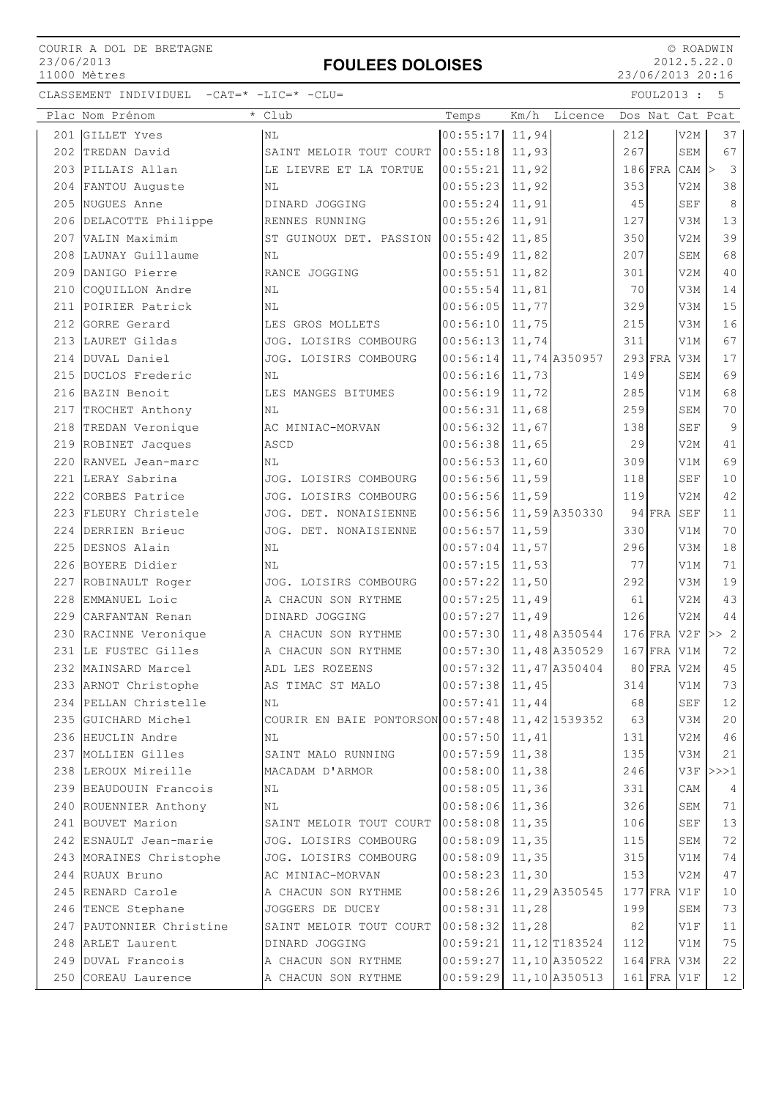## FOULEES DOLOISES

 © ROADWIN 2012.5.22.0 23/06/2013 20:16

|     | Plac Nom Prénom          | * Club                                          | Temps                     | Km/h  | Licence        |     |           |                  | Dos Nat Cat Pcat                  |
|-----|--------------------------|-------------------------------------------------|---------------------------|-------|----------------|-----|-----------|------------------|-----------------------------------|
|     | 201 GILLET Yves          | NL                                              | 00:55:17                  | 11,94 |                | 212 |           | V2M              | 37                                |
| 202 | TREDAN David             | SAINT MELOIR TOUT COURT                         | 00:55:18                  | 11,93 |                | 267 |           | SEM              | 67                                |
|     | 203 PILLAIS Allan        | LE LIEVRE ET LA TORTUE                          | 00:55:21                  | 11,92 |                |     | $186$ FRA | CAM              | $\overline{\mathbf{3}}$<br>$\geq$ |
|     | 204 FANTOU Auguste       | NL                                              | 00:55:23                  | 11,92 |                | 353 |           | V <sub>2M</sub>  | 38                                |
|     | 205 NUGUES Anne          | DINARD JOGGING                                  | 00:55:24                  | 11,91 |                | 45  |           | <b>SEF</b>       | $8\,$                             |
|     | 206 DELACOTTE Philippe   | RENNES RUNNING                                  | 00:55:26                  | 11,91 |                | 127 |           | V3M              | 13                                |
|     | 207 VALIN Maximim        | ST GUINOUX DET. PASSION                         | 00:55:42                  | 11,85 |                | 350 |           | V2M              | 39                                |
|     | 208 LAUNAY Guillaume     | NL                                              | 00:55:49                  | 11,82 |                | 207 |           | SEM              | 68                                |
|     | 209 DANIGO Pierre        | RANCE JOGGING                                   | 00:55:51                  | 11,82 |                | 301 |           | V <sub>2M</sub>  | 40                                |
|     | 210 COQUILLON Andre      | NL                                              | 00:55:54                  | 11,81 |                | 70  |           | V3M              | 14                                |
| 211 | POIRIER Patrick          | ΝL                                              | 00:56:05                  | 11,77 |                | 329 |           | V3M              | 15                                |
| 212 | GORRE Gerard             | LES GROS MOLLETS                                | 00:56:10                  | 11,75 |                | 215 |           | V3M              | 16                                |
|     | 213 LAURET Gildas        | JOG. LOISIRS COMBOURG                           | 00:56:13                  | 11,74 |                | 311 |           | V1M              | 67                                |
|     | 214 DUVAL Daniel         | JOG. LOISIRS COMBOURG                           | 00:56:14                  |       | 11,74 A350957  |     | $293$ FRA | V3M              | 17                                |
|     | 215 DUCLOS Frederic      | NL                                              | 00:56:16                  | 11,73 |                | 149 |           | <b>SEM</b>       | 69                                |
|     | 216 BAZIN Benoit         | LES MANGES BITUMES                              | 00:56:19                  | 11,72 |                | 285 |           | V1M              | 68                                |
|     | 217 TROCHET Anthony      | ΝL                                              | 00:56:31                  | 11,68 |                | 259 |           | SEM              | 70                                |
|     | 218 TREDAN Veronique     | AC MINIAC-MORVAN                                | 00:56:32                  | 11,67 |                | 138 |           | <b>SEF</b>       | $\overline{9}$                    |
|     | 219 ROBINET Jacques      | ASCD                                            | 00:56:38                  | 11,65 |                | 29  |           | V <sub>2</sub> M | 41                                |
|     | 220 RANVEL Jean-marc     | ΝL                                              | 00:56:53                  | 11,60 |                | 309 |           | V1M              | 69                                |
|     | 221 LERAY Sabrina        | JOG. LOISIRS COMBOURG                           | 00:56:56                  | 11,59 |                | 118 |           | <b>SEF</b>       | 10                                |
|     | 222 CORBES Patrice       | JOG. LOISIRS COMBOURG                           | 00:56:56                  | 11,59 |                | 119 |           | V2M              | 42                                |
|     | 223 FLEURY Christele     | JOG. DET. NONAISIENNE                           | 00:56:56                  |       | 11,59 A350330  |     | $94$ FRA  | SEF              | 11                                |
|     | 224 DERRIEN Brieuc       | JOG. DET. NONAISIENNE                           | 00:56:57                  | 11,59 |                | 330 |           | V1M              | 70                                |
|     | 225 DESNOS Alain         | ΝL                                              | 00:57:04                  | 11,57 |                | 296 |           | V3M              | 18                                |
|     | 226 BOYERE Didier        | ΝL                                              | 00:57:15                  | 11,53 |                | 77  |           | V1M              | 71                                |
|     | 227 ROBINAULT Roger      | JOG. LOISIRS COMBOURG                           | 00:57:22                  | 11,50 |                | 292 |           | V3M              | 19                                |
|     | 228 EMMANUEL Loic        | A CHACUN SON RYTHME                             | 00:57:25                  | 11,49 |                | 61  |           | V <sub>2M</sub>  | 43                                |
|     | 229 CARFANTAN Renan      | DINARD JOGGING                                  | 00:57:27                  | 11,49 |                | 126 |           | V <sub>2M</sub>  | 44                                |
|     | 230 RACINNE Veronique    | A CHACUN SON RYTHME                             | 00:57:30                  |       | 11,48 A350544  |     | $176$ FRA | V2F              | >> 2                              |
| 231 | LE FUSTEC Gilles         | A CHACUN SON RYTHME                             | 00:57:30                  |       | 11,48 A350529  |     | $167$ FRA | V1M              | 72                                |
|     | 232 MAINSARD Marcel      | ADL LES ROZEENS                                 | 00:57:32                  |       | 11,47 A350404  |     | 80 FRA    | V <sub>2M</sub>  | 45                                |
|     | 233 ARNOT Christophe     | AS TIMAC ST MALO                                | 00:57:38 11,45            |       |                | 314 |           | V1M              | 73                                |
|     | 234 PELLAN Christelle    | NL                                              | $00:57:41$ 11,44          |       |                | 68  |           | SEF              | 12                                |
|     | 235 GUICHARD Michel      | COURIR EN BAIE PONTORSON 00:57:48 11,42 1539352 |                           |       |                | 63  |           | V3M              | 20                                |
|     | 236 HEUCLIN Andre        | ΝL                                              | $00:57:50$ 11,41          |       |                | 131 |           | V2M              | 46                                |
|     | 237 MOLLIEN Gilles       | SAINT MALO RUNNING                              | 00:57:59 11,38            |       |                | 135 |           | V3M              | 21                                |
|     | 238 LEROUX Mireille      | MACADAM D'ARMOR                                 | 00:58:00                  | 11,38 |                | 246 |           |                  | $V3F$ $>>$ 1                      |
|     | 239 BEAUDOUIN Francois   | NL                                              | 00:58:05                  | 11,36 |                | 331 |           | CAM              | $\overline{4}$                    |
|     | 240 ROUENNIER Anthony    | NL                                              | 00:58:06 11,36            |       |                | 326 |           | SEM              | 71                                |
|     | 241 BOUVET Marion        | SAINT MELOIR TOUT COURT 00:58:08 11,35          |                           |       |                | 106 |           | SEF              | 13                                |
|     | 242 ESNAULT Jean-marie   | JOG. LOISIRS COMBOURG                           | 00:58:09 11,35            |       |                | 115 |           | SEM              | 72                                |
|     | 243 MORAINES Christophe  | JOG. LOISIRS COMBOURG                           | $00:58:09$ 11,35          |       |                | 315 |           | V1M              | 74                                |
|     | 244 RUAUX Bruno          | AC MINIAC-MORVAN                                | 00:58:23 11,30            |       |                | 153 |           | V2M              | 47                                |
|     | 245 RENARD Carole        | A CHACUN SON RYTHME                             | 00:58:26 11,29 A350545    |       |                |     | $177$ FRA | V1F              | 10                                |
|     | 246 TENCE Stephane       | JOGGERS DE DUCEY                                | 00:58:31                  | 11,28 |                | 199 |           | SEM              | 73                                |
|     | 247 PAUTONNIER Christine | SAINT MELOIR TOUT COURT                         | 00:58:32                  | 11,28 |                | 82  |           | V1F              | 11                                |
|     | 248 ARLET Laurent        | DINARD JOGGING                                  | 00:59:21                  |       | 11, 12 T183524 | 112 |           | V1M              | 75                                |
|     | 249 DUVAL Francois       | A CHACUN SON RYTHME                             | 00:59:27                  |       | 11,10 A350522  |     |           | $164$ FRA V3M    | 22                                |
|     | 250 COREAU Laurence      | A CHACUN SON RYTHME                             | $00:59:29$ 11, 10 A350513 |       |                |     |           | $161$ FRA V1F    | 12                                |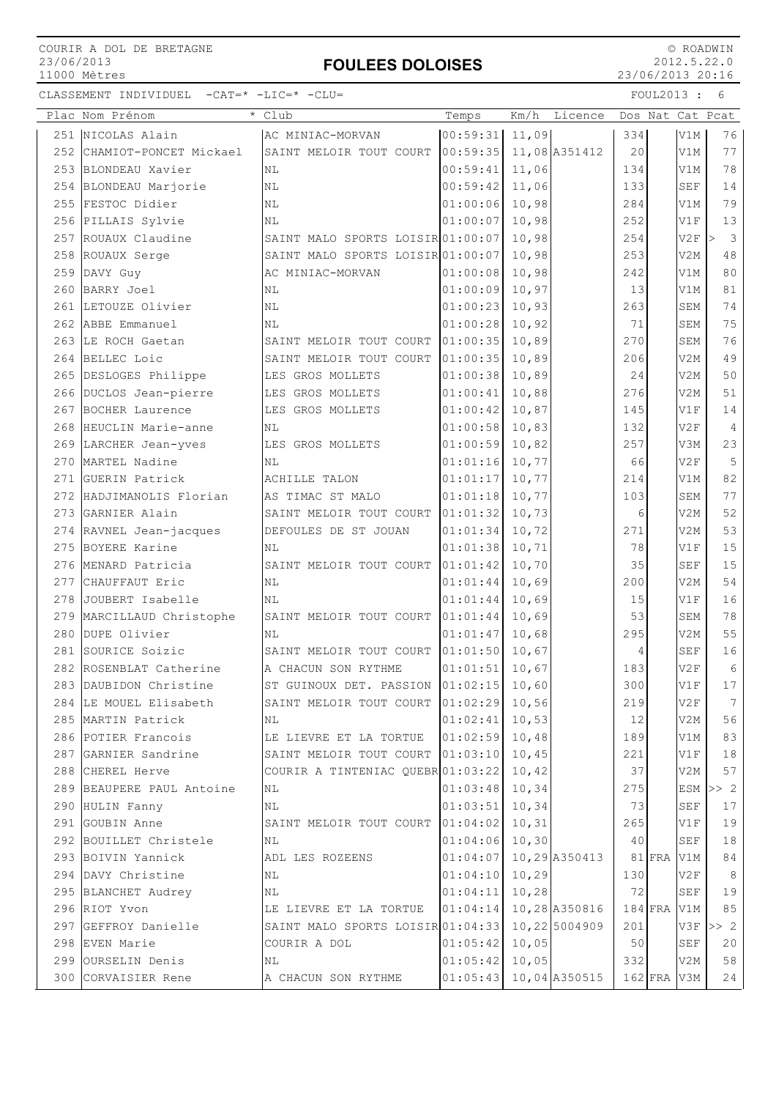# FOULEES DOLOISES

 © ROADWIN 2012.5.22.0 23/06/2013 20:16

|     | Plac Nom Prénom            | Club                                   | Temps    | Km/h<br>Licence | Dos Nat Cat Pcat |          |                 |                                         |
|-----|----------------------------|----------------------------------------|----------|-----------------|------------------|----------|-----------------|-----------------------------------------|
|     | 251 NICOLAS Alain          | AC MINIAC-MORVAN                       | 00:59:31 | 11,09           | 334              |          | V1M             | 76                                      |
|     | 252 CHAMIOT-PONCET Mickael | SAINT MELOIR TOUT COURT                | 00:59:35 | 11,08 A351412   | 20               |          | V1M             | 77                                      |
|     | 253 BLONDEAU Xavier        | NL                                     | 00:59:41 | 11,06           | 134              |          | V1M             | 78                                      |
| 254 | BLONDEAU Marjorie          | NL                                     | 00:59:42 | 11,06           | 133              |          | <b>SEF</b>      | 14                                      |
| 255 | FESTOC Didier              | NL                                     | 01:00:06 | 10,98           | 284              |          | V1M             | 79                                      |
|     | 256 PILLAIS Sylvie         | ΝL                                     | 01:00:07 | 10,98           | 252              |          | V1F             | 13                                      |
|     | 257 ROUAUX Claudine        | SAINT MALO SPORTS LOISIR 01:00:07      |          | 10,98           | 254              |          | V2F             | $\overline{\mathbf{3}}$<br>$\mathbf{L}$ |
|     | 258 ROUAUX Serge           | SAINT MALO SPORTS LOISIR 01:00:07      |          | 10,98           | 253              |          | V2M             | $4\,8$                                  |
|     | 259 DAVY Guy               | AC MINIAC-MORVAN                       | 01:00:08 | 10,98           | 242              |          | V1M             | 80                                      |
| 260 | BARRY Joel                 | NL                                     | 01:00:09 | 10,97           | 13               |          | V1M             | 81                                      |
|     | 261 LETOUZE Olivier        | ΝL                                     | 01:00:23 | 10,93           | 263              |          | SEM             | 74                                      |
|     | 262 ABBE Emmanuel          | NL                                     | 01:00:28 | 10,92           | 71               |          | SEM             | 75                                      |
|     | 263 LE ROCH Gaetan         | SAINT MELOIR TOUT COURT                | 01:00:35 | 10,89           | 270              |          | <b>SEM</b>      | 76                                      |
| 264 | BELLEC Loic                | SAINT MELOIR TOUT COURT                | 01:00:35 | 10,89           | 206              |          | V2M             | 49                                      |
| 265 | DESLOGES Philippe          | LES GROS MOLLETS                       | 01:00:38 | 10,89           | 24               |          | V2M             | 50                                      |
|     | 266 DUCLOS Jean-pierre     | LES GROS MOLLETS                       | 01:00:41 | 10,88           | 276              |          | V2M             | 51                                      |
|     | 267 BOCHER Laurence        | LES GROS MOLLETS                       | 01:00:42 | 10,87           | 145              |          | V1F             | 14                                      |
|     | 268 HEUCLIN Marie-anne     | ΝL                                     | 01:00:58 | 10,83           | 132              |          | V2F             | $\overline{4}$                          |
|     | 269 LARCHER Jean-yves      | LES GROS MOLLETS                       | 01:00:59 | 10,82           | 257              |          | V3M             | 23                                      |
|     | 270 MARTEL Nadine          | ΝL                                     | 01:01:16 | 10,77           | 66               |          | V2F             | 5                                       |
|     | 271 GUERIN Patrick         | ACHILLE TALON                          | 01:01:17 | 10,77           | 214              |          | V1M             | 82                                      |
|     | 272 HADJIMANOLIS Florian   | AS TIMAC ST MALO                       | 01:01:18 | 10,77           | 103              |          | SEM             | 77                                      |
|     | 273 GARNIER Alain          | SAINT MELOIR TOUT COURT                | 01:01:32 | 10,73           | 6                |          | V2M             | 52                                      |
|     | 274 RAVNEL Jean-jacques    | DEFOULES DE ST JOUAN                   | 01:01:34 | 10,72           | 271              |          | V2M             | 53                                      |
| 275 | BOYERE Karine              | ΝL                                     | 01:01:38 | 10,71           | 78               |          | V1F             | 15                                      |
| 276 | MENARD Patricia            | SAINT MELOIR TOUT COURT                | 01:01:42 | 10,70           | 35               |          | <b>SEF</b>      | 15                                      |
|     | 277 CHAUFFAUT Eric         | NL                                     | 01:01:44 | 10,69           | 200              |          | V <sub>2M</sub> | 54                                      |
|     | 278 JOUBERT Isabelle       | ΝL                                     | 01:01:44 | 10,69           | 15               |          | V1F             | 16                                      |
| 279 | MARCILLAUD Christophe      | SAINT MELOIR TOUT COURT                | 01:01:44 | 10,69           | 53               |          | SEM             | 78                                      |
| 280 | DUPE Olivier               | NL                                     | 01:01:47 | 10,68           | 295              |          | V2M             | 55                                      |
| 281 | SOURICE Soizic             | SAINT MELOIR TOUT COURT                | 01:01:50 | 10,67           | 4                |          | <b>SEF</b>      | 16                                      |
|     | 282 ROSENBLAT Catherine    | A CHACUN SON RYTHME                    | 01:01:51 | 10,67           | 183              |          | V2F             | $6\,$                                   |
|     | 283 DAUBIDON Christine     | ST GUINOUX DET. PASSION 01:02:15 10,60 |          |                 | 300              |          | V1F             | 17                                      |
| 284 | LE MOUEL Elisabeth         | SAINT MELOIR TOUT COURT                | 01:02:29 | 10,56           | 219              |          | V2F             | 7                                       |
|     | 285 MARTIN Patrick         | NL                                     | 01:02:41 | 10,53           | 12               |          | V2M             | 56                                      |
|     | 286 POTIER Francois        | LE LIEVRE ET LA TORTUE                 | 01:02:59 | 10,48           | 189              |          | V1M             | 83                                      |
|     | 287 GARNIER Sandrine       | SAINT MELOIR TOUT COURT 01:03:10       |          | 10,45           | 221              |          | V1F             | 18                                      |
|     | 288 CHEREL Herve           | COURIR A TINTENIAC QUEBR 01:03:22      |          | 10,42           | 37               |          | V2M             | 57                                      |
|     | 289 BEAUPERE PAUL Antoine  | ΝL                                     | 01:03:48 | 10,34           | 275              |          | ESM             | >> 2                                    |
| 290 | HULIN Fanny                | ΝL                                     | 01:03:51 | 10,34           | 73               |          | <b>SEF</b>      | 17                                      |
| 291 | GOUBIN Anne                | SAINT MELOIR TOUT COURT                | 01:04:02 | 10,31           | 265              |          | V1F             | 19                                      |
|     | 292 BOUILLET Christele     | NL                                     | 01:04:06 | 10, 30          | 40               |          | SEF             | 18                                      |
|     | 293 BOIVIN Yannick         | ADL LES ROZEENS                        | 01:04:07 | 10,29 A350413   |                  | $81$ FRA | V1M             | 84                                      |
|     | 294 DAVY Christine         | ΝL                                     | 01:04:10 | 10, 29          | 130              |          | V2F             | 8                                       |
|     | 295 BLANCHET Audrey        | ΝL                                     | 01:04:11 | 10, 28          | 72               |          | SEF             | 19                                      |
|     | 296 RIOT Yvon              | LE LIEVRE ET LA TORTUE                 | 01:04:14 | 10,28 A350816   | $184$ FRA        |          | V1M             | 85                                      |
|     | 297 GEFFROY Danielle       | SAINT MALO SPORTS LOISIR 01:04:33      |          | 10,22 5004909   | 201              |          | V3F             | >> 2                                    |
|     | 298 EVEN Marie             | COURIR A DOL                           | 01:05:42 | 10,05           | 50               |          | SEF             | 20                                      |
| 299 | OURSELIN Denis             | ΝL                                     | 01:05:42 | 10,05           | 332              |          | V2M             | 58                                      |
| 300 | CORVAISIER Rene            | A CHACUN SON RYTHME                    | 01:05:43 | 10,04 A350515   | $162$ FRA V3M    |          |                 | 24                                      |